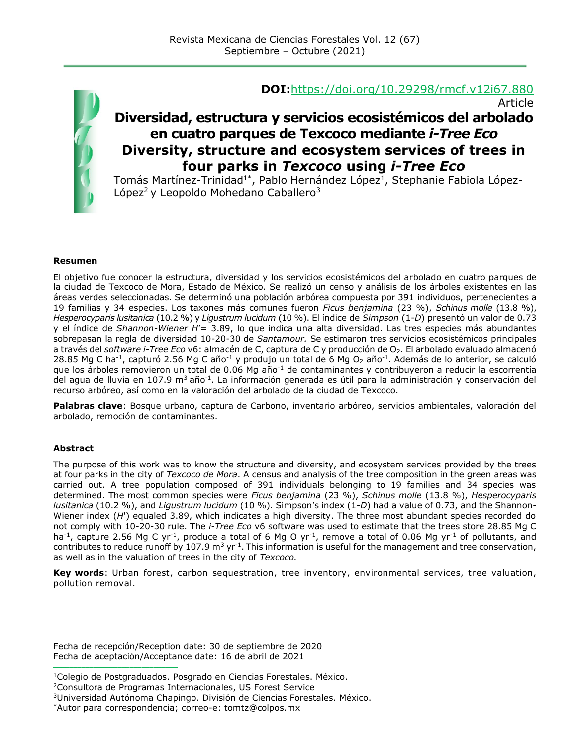

#### **DOI:**<https://doi.org/10.29298/rmcf.v12i67.880>

Article

## **Diversidad, estructura y servicios ecosistémicos del arbolado en cuatro parques de Texcoco mediante** *i-Tree Eco* **Diversity, structure and ecosystem services of trees in four parks in** *Texcoco* **using** *i-Tree Eco*

Tomás Martínez-Trinidad<sup>1\*</sup>, Pablo Hernández López<sup>1</sup>, Stephanie Fabiola López-López<sup>2</sup> y Leopoldo Mohedano Caballero<sup>3</sup>

#### **Resumen**

El objetivo fue conocer la estructura, diversidad y los servicios ecosistémicos del arbolado en cuatro parques de la ciudad de Texcoco de Mora, Estado de México. Se realizó un censo y análisis de los árboles existentes en las áreas verdes seleccionadas. Se determinó una población arbórea compuesta por 391 individuos, pertenecientes a 19 familias y 34 especies. Los taxones más comunes fueron *Ficus benjamina* (23 %), *Schinus molle* (13.8 %), *Hesperocyparis lusitanica* (10.2 %) y *Ligustrum lucidum* (10 %). El índice de *Simpson* (1-*D*) presentó un valor de 0.73 y el índice de *Shannon-Wiener H*'= 3.89, lo que indica una alta diversidad. Las tres especies más abundantes sobrepasan la regla de diversidad 10-20-30 de *Santamour.* Se estimaron tres servicios ecosistémicos principales a través del *software i-Tree Eco* v6: almacén de C, captura de C y producción de O<sub>2</sub>. El arbolado evaluado almacenó 28.85 Mg C ha<sup>-1</sup>, capturó 2.56 Mg C año<sup>-1</sup> y produjo un total de 6 Mg O<sub>2</sub> año<sup>-1</sup>. Además de lo anterior, se calculó que los árboles removieron un total de 0.06 Mg año-1 de contaminantes y contribuyeron a reducir la escorrentía del agua de lluvia en 107.9 m<sup>3</sup> año<sup>-1</sup>. La información generada es útil para la administración y conservación del recurso arbóreo, así como en la valoración del arbolado de la ciudad de Texcoco.

**Palabras clave**: Bosque urbano, captura de Carbono, inventario arbóreo, servicios ambientales, valoración del arbolado, remoción de contaminantes.

#### **Abstract**

The purpose of this work was to know the structure and diversity, and ecosystem services provided by the trees at four parks in the city of *Texcoco de Mora*. A census and analysis of the tree composition in the green areas was carried out. A tree population composed of 391 individuals belonging to 19 families and 34 species was determined. The most common species were *Ficus benjamina* (23 %), *Schinus molle* (13.8 %), *Hesperocyparis lusitanica* (10.2 %), and *Ligustrum lucidum* (10 %). Simpson's index (1-*D*) had a value of 0.73, and the Shannon-Wiener index (*H*') equaled 3.89, which indicates a high diversity. The three most abundant species recorded do not comply with 10-20-30 rule. The *i-Tree Eco* v6 software was used to estimate that the trees store 28.85 Mg C ha<sup>-1</sup>, capture 2.56 Mg C yr<sup>-1</sup>, produce a total of 6 Mg O yr<sup>-1</sup>, remove a total of 0.06 Mg yr<sup>-1</sup> of pollutants, and contributes to reduce runoff by 107.9 m<sup>3</sup> yr<sup>-1</sup>. This information is useful for the management and tree conservation, as well as in the valuation of trees in the city of *Texcoco.*

**Key words**: Urban forest, carbon sequestration, tree inventory, environmental services, tree valuation, pollution removal.

Fecha de recepción/Reception date: 30 de septiembre de 2020 Fecha de aceptación/Acceptance date: 16 de abril de 2021

**\_\_\_\_\_\_\_\_\_\_\_\_\_\_\_\_\_\_\_\_\_\_\_\_\_\_\_\_\_\_\_**

<sup>1</sup>Colegio de Postgraduados. Posgrado en Ciencias Forestales. México.

<sup>2</sup>Consultora de Programas Internacionales, US Forest Service

<sup>3</sup>Universidad Autónoma Chapingo. División de Ciencias Forestales. México.

<sup>\*</sup>Autor para correspondencia; correo-e: [tomtz@colpos.mx](mailto:tomtz@colpos.mx)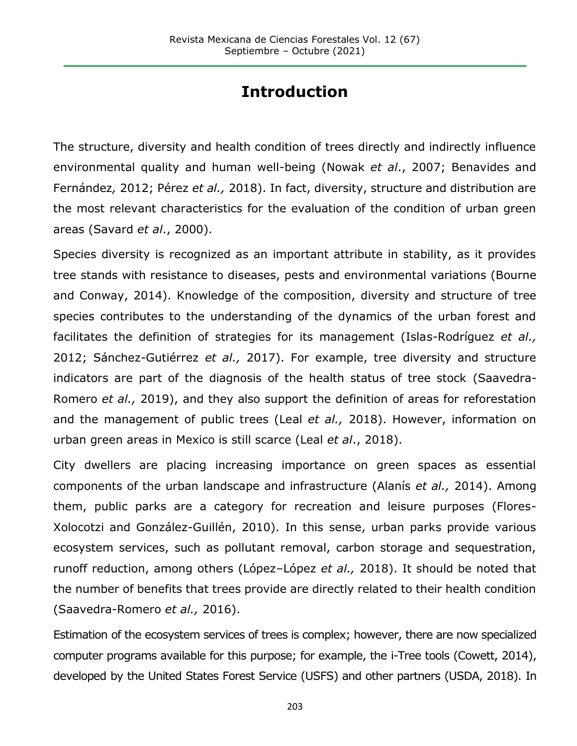# **Introduction**

The structure, diversity and health condition of trees directly and indirectly influence environmental quality and human well-being (Nowak *et al*., 2007; Benavides and Fernández*,* 2012; Pérez *et al.,* 2018). In fact, diversity, structure and distribution are the most relevant characteristics for the evaluation of the condition of urban green areas (Savard *et al*., 2000).

Species diversity is recognized as an important attribute in stability, as it provides tree stands with resistance to diseases, pests and environmental variations (Bourne and Conway, 2014). Knowledge of the composition, diversity and structure of tree species contributes to the understanding of the dynamics of the urban forest and facilitates the definition of strategies for its management (Islas-Rodríguez *et al.,* 2012; Sánchez-Gutiérrez *et al.,* 2017). For example, tree diversity and structure indicators are part of the diagnosis of the health status of tree stock (Saavedra-Romero *et al.,* 2019), and they also support the definition of areas for reforestation and the management of public trees (Leal *et al.,* 2018). However, information on urban green areas in Mexico is still scarce (Leal *et al*., 2018).

City dwellers are placing increasing importance on green spaces as essential components of the urban landscape and infrastructure (Alanís *et al.,* 2014). Among them, public parks are a category for recreation and leisure purposes (Flores-Xolocotzi and González-Guillén, 2010). In this sense, urban parks provide various ecosystem services, such as pollutant removal, carbon storage and sequestration, runoff reduction, among others (López–López *et al.,* 2018). It should be noted that the number of benefits that trees provide are directly related to their health condition (Saavedra-Romero *et al.,* 2016).

Estimation of the ecosystem services of trees is complex; however, there are now specialized computer programs available for this purpose; for example, the i-Tree tools (Cowett, 2014), developed by the United States Forest Service (USFS) and other partners (USDA, 2018). In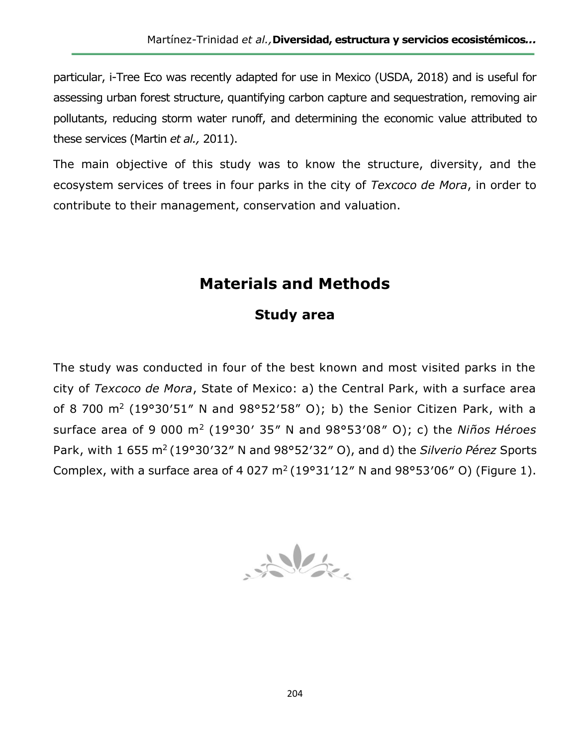particular, i-Tree Eco was recently adapted for use in Mexico (USDA, 2018) and is useful for assessing urban forest structure, quantifying carbon capture and sequestration, removing air pollutants, reducing storm water runoff, and determining the economic value attributed to these services (Martin *et al.,* 2011).

The main objective of this study was to know the structure, diversity, and the ecosystem services of trees in four parks in the city of *Texcoco de Mora*, in order to contribute to their management, conservation and valuation.

# **Materials and Methods**

## **Study area**

The study was conducted in four of the best known and most visited parks in the city of *Texcoco de Mora*, State of Mexico: a) the Central Park, with a surface area of 8 700 m<sup>2</sup> (19°30′51″ N and 98°52′58" O); b) the Senior Citizen Park, with a surface area of 9 000 m<sup>2</sup> (19°30′ 35″ N and 98°53′08″ O); c) the *Niños Héroes* Park, with 1 655 m<sup>2</sup>(19°30′32″ N and 98°52′32″ O), and d) the *Silverio Pérez* Sports Complex, with a surface area of 4 027  $m^2$  (19°31'12" N and 98°53'06" O) (Figure 1).

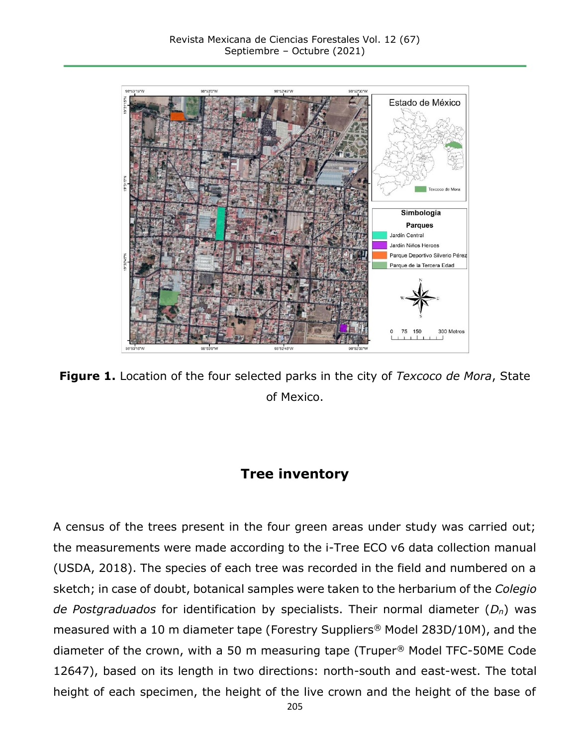

**Figure 1.** Location of the four selected parks in the city of *Texcoco de Mora*, State of Mexico.

## **Tree inventory**

A census of the trees present in the four green areas under study was carried out; the measurements were made according to the i-Tree ECO v6 data collection manual (USDA, 2018). The species of each tree was recorded in the field and numbered on a sketch; in case of doubt, botanical samples were taken to the herbarium of the *Colegio de Postgraduados* for identification by specialists. Their normal diameter (*Dn*) was measured with a 10 m diameter tape (Forestry Suppliers*®* Model 283D/10M), and the diameter of the crown, with a 50 m measuring tape (Truper*®* Model TFC-50ME Code 12647), based on its length in two directions: north-south and east-west. The total height of each specimen, the height of the live crown and the height of the base of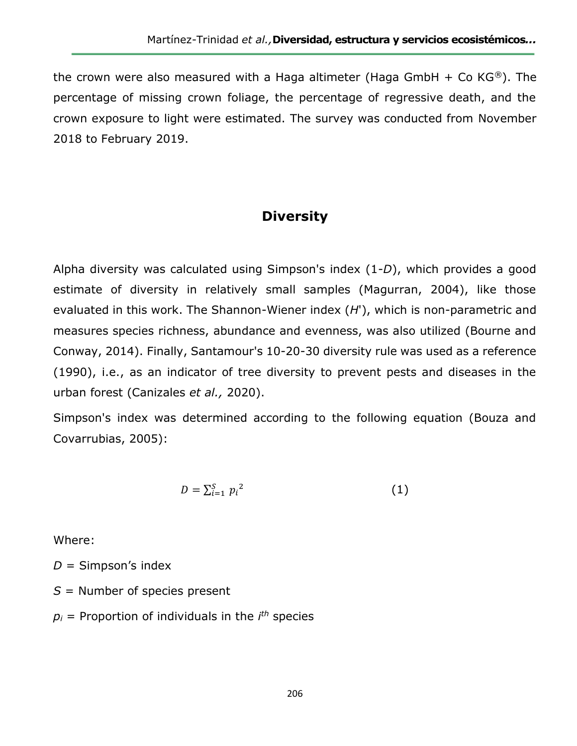the crown were also measured with a Haga altimeter (Haga GmbH + Co KG*®*). The percentage of missing crown foliage, the percentage of regressive death, and the crown exposure to light were estimated. The survey was conducted from November 2018 to February 2019.

## **Diversity**

Alpha diversity was calculated using Simpson's index (1-*D*), which provides a good estimate of diversity in relatively small samples (Magurran, 2004), like those evaluated in this work. The Shannon-Wiener index (*H*'), which is non-parametric and measures species richness, abundance and evenness, was also utilized (Bourne and Conway, 2014). Finally, Santamour's 10-20-30 diversity rule was used as a reference (1990), i.e., as an indicator of tree diversity to prevent pests and diseases in the urban forest (Canizales *et al.,* 2020).

Simpson's index was determined according to the following equation (Bouza and Covarrubias, 2005):

$$
D = \sum_{i=1}^{S} p_i^2 \tag{1}
$$

Where:

- *D* = Simpson's index
- *S* = Number of species present
- *p<sup>i</sup>* = Proportion of individuals in the *i th* species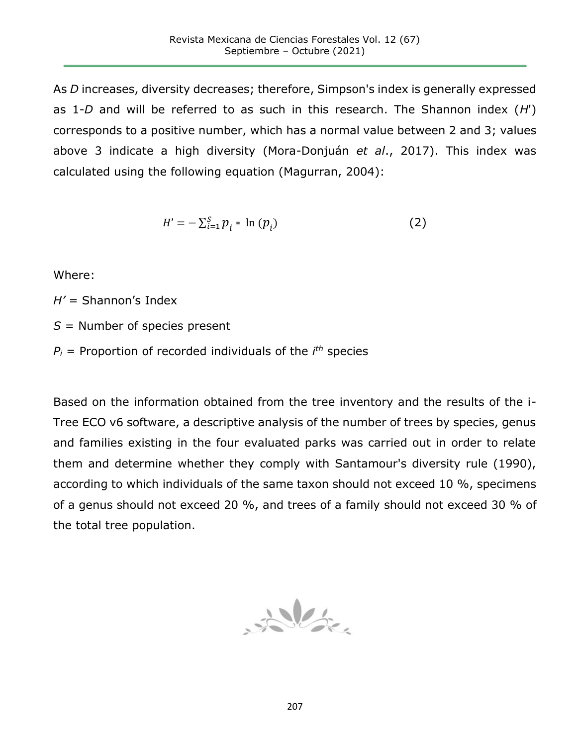As *D* increases, diversity decreases; therefore, Simpson's index is generally expressed as 1-*D* and will be referred to as such in this research. The Shannon index (*H*') corresponds to a positive number, which has a normal value between 2 and 3; values above 3 indicate a high diversity (Mora-Donjuán *et al*., 2017). This index was calculated using the following equation (Magurran, 2004):

$$
H' = -\sum_{i=1}^{S} p_i * \ln (p_i)
$$
 (2)

Where:

*H'* = Shannon's Index

- *S* = Number of species present
- $P_i$  = Proportion of recorded individuals of the  $i<sup>th</sup>$  species

Based on the information obtained from the tree inventory and the results of the i-Tree ECO v6 software, a descriptive analysis of the number of trees by species, genus and families existing in the four evaluated parks was carried out in order to relate them and determine whether they comply with Santamour's diversity rule (1990), according to which individuals of the same taxon should not exceed 10 %, specimens of a genus should not exceed 20 %, and trees of a family should not exceed 30 % of the total tree population.

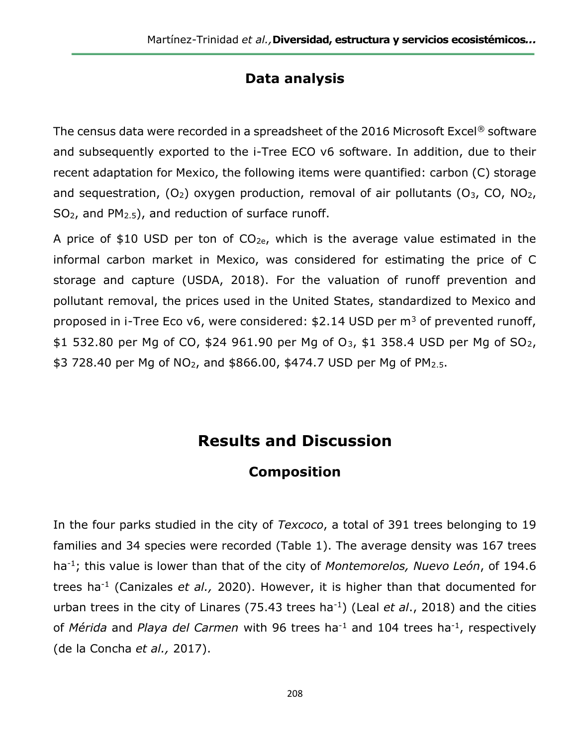## **Data analysis**

The census data were recorded in a spreadsheet of the 2016 Microsoft Excel*®* software and subsequently exported to the i-Tree ECO v6 software. In addition, due to their recent adaptation for Mexico, the following items were quantified: carbon (C) storage and sequestration,  $(O_2)$  oxygen production, removal of air pollutants  $(O_3, CO, NO_2,$  $SO<sub>2</sub>$ , and PM<sub>2.5</sub>), and reduction of surface runoff.

A price of \$10 USD per ton of  $CO<sub>2e</sub>$ , which is the average value estimated in the informal carbon market in Mexico, was considered for estimating the price of C storage and capture (USDA, 2018). For the valuation of runoff prevention and pollutant removal, the prices used in the United States, standardized to Mexico and proposed in i-Tree Eco  $v6$ , were considered: \$2.14 USD per  $m<sup>3</sup>$  of prevented runoff, \$1 532.80 per Mg of CO, \$24 961.90 per Mg of  $O_3$ , \$1 358.4 USD per Mg of SO<sub>2</sub>, \$3 728.40 per Mg of NO<sub>2</sub>, and \$866.00, \$474.7 USD per Mg of PM<sub>2.5</sub>.

## **Results and Discussion**

## **Composition**

In the four parks studied in the city of *Texcoco*, a total of 391 trees belonging to 19 families and 34 species were recorded (Table 1). The average density was 167 trees ha-1; this value is lower than that of the city of *Montemorelos, Nuevo León*, of 194.6 trees ha-1 (Canizales *et al.,* 2020). However, it is higher than that documented for urban trees in the city of Linares (75.43 trees ha-1) (Leal *et al*., 2018) and the cities of *Mérida* and *Playa del Carmen* with 96 trees ha-1 and 104 trees ha-1 , respectively (de la Concha *et al.,* 2017).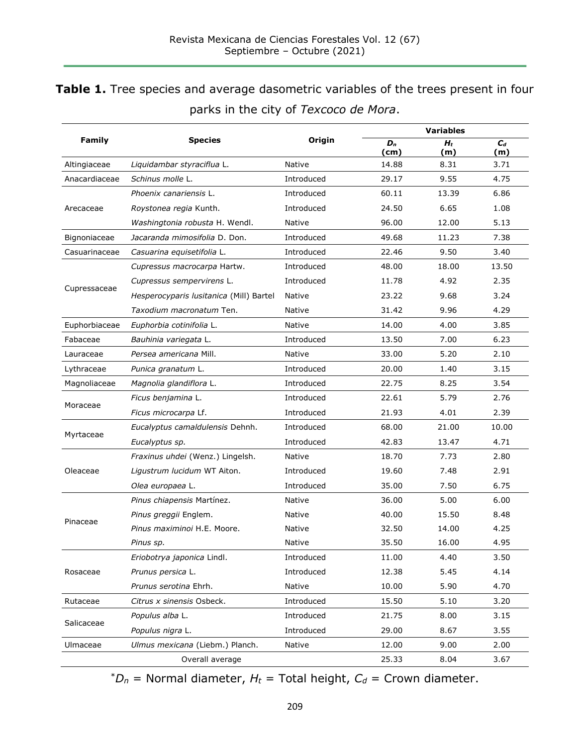## **Table 1.** Tree species and average dasometric variables of the trees present in four parks in the city of *Texcoco de Mora*.

|               | <b>Species</b>                          |            | <b>Variables</b> |              |              |  |
|---------------|-----------------------------------------|------------|------------------|--------------|--------------|--|
| <b>Family</b> |                                         | Origin     | $D_n$<br>(cm)    | $H_t$<br>(m) | $C_d$<br>(m) |  |
| Altingiaceae  | Liquidambar styraciflua L.              | Native     | 14.88            | 8.31         | 3.71         |  |
| Anacardiaceae | Schinus molle L.                        | Introduced | 29.17            | 9.55         | 4.75         |  |
| Arecaceae     | Phoenix canariensis L.                  | Introduced | 60.11            | 13.39        | 6.86         |  |
|               | Roystonea regia Kunth.                  | Introduced | 24.50            | 6.65         | 1.08         |  |
|               | Washingtonia robusta H. Wendl.          | Native     | 96.00            | 12.00        | 5.13         |  |
| Bignoniaceae  | Jacaranda mimosifolia D. Don.           | Introduced | 49.68            | 11.23        | 7.38         |  |
| Casuarinaceae | Casuarina equisetifolia L.              | Introduced | 22.46            | 9.50         | 3.40         |  |
|               | Cupressus macrocarpa Hartw.             | Introduced | 48.00            | 18.00        | 13.50        |  |
|               | Cupressus sempervirens L.               | Introduced | 11.78            | 4.92         | 2.35         |  |
| Cupressaceae  | Hesperocyparis lusitanica (Mill) Bartel | Native     | 23.22            | 9.68         | 3.24         |  |
|               | Taxodium macronatum Ten.                | Native     | 31.42            | 9.96         | 4.29         |  |
| Euphorbiaceae | Euphorbia cotinifolia L.                | Native     | 14.00            | 4.00         | 3.85         |  |
| Fabaceae      | Bauhinia variegata L.                   | Introduced | 13.50            | 7.00         | 6.23         |  |
| Lauraceae     | Persea americana Mill.                  | Native     | 33.00            | 5.20         | 2.10         |  |
| Lythraceae    | Punica granatum L.                      | Introduced | 20.00            | 1.40         | 3.15         |  |
| Magnoliaceae  | Magnolia glandiflora L.                 | Introduced | 22.75            | 8.25         | 3.54         |  |
|               | Ficus benjamina L.                      | Introduced | 22.61            | 5.79         | 2.76         |  |
| Moraceae      | Ficus microcarpa Lf.                    | Introduced | 21.93            | 4.01         | 2.39         |  |
|               | Eucalyptus camaldulensis Dehnh.         | Introduced | 68.00            | 21.00        | 10.00        |  |
| Myrtaceae     | Eucalyptus sp.                          | Introduced | 42.83            | 13.47        | 4.71         |  |
| Oleaceae      | Fraxinus uhdei (Wenz.) Lingelsh.        | Native     | 18.70            | 7.73         | 2.80         |  |
|               | Ligustrum lucidum WT Aiton.             | Introduced | 19.60            | 7.48         | 2.91         |  |
|               | Olea europaea L.                        | Introduced | 35.00            | 7.50         | 6.75         |  |
| Pinaceae      | Pinus chiapensis Martínez.              | Native     | 36.00            | 5.00         | 6.00         |  |
|               | Pinus greggii Englem.                   | Native     | 40.00            | 15.50        | 8.48         |  |
|               | Pinus maximinoi H.E. Moore.             | Native     | 32.50            | 14.00        | 4.25         |  |
|               | Pinus sp.                               | Native     | 35.50            | 16.00        | 4.95         |  |
| Rosaceae      | Eriobotrya japonica Lindl.              | Introduced | 11.00            | 4.40         | 3.50         |  |
|               | Prunus persica L.                       | Introduced | 12.38            | 5.45         | 4.14         |  |
|               | Prunus serotina Ehrh.                   | Native     | 10.00            | 5.90         | 4.70         |  |
| Rutaceae      | Citrus x sinensis Osbeck.               | Introduced | 15.50            | 5.10         | 3.20         |  |
| Salicaceae    | Populus alba L.                         | Introduced | 21.75            | 8.00         | 3.15         |  |
|               | Populus nigra L.                        | Introduced | 29.00            | 8.67         | 3.55         |  |
| Ulmaceae      | Ulmus mexicana (Liebm.) Planch.         | Native     | 12.00            | 9.00         | 2.00         |  |
|               | Overall average                         |            | 25.33            | 8.04         | 3.67         |  |

 $^*D_n$  = Normal diameter,  $H_t$  = Total height,  $C_d$  = Crown diameter.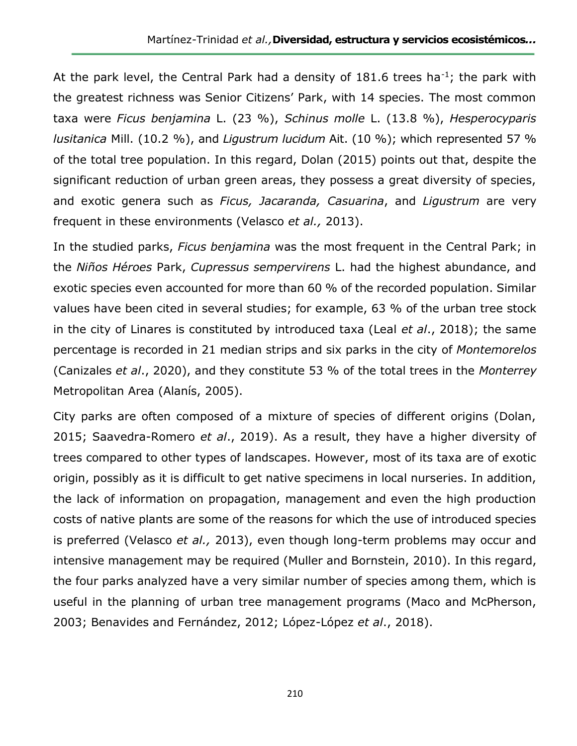At the park level, the Central Park had a density of 181.6 trees ha<sup>-1</sup>; the park with the greatest richness was Senior Citizens' Park, with 14 species. The most common taxa were *Ficus benjamina* L. (23 %), *Schinus molle* L. (13.8 %), *Hesperocyparis lusitanica* Mill. (10.2 %), and *Ligustrum lucidum* Ait. (10 %); which represented 57 % of the total tree population. In this regard, Dolan (2015) points out that, despite the significant reduction of urban green areas, they possess a great diversity of species, and exotic genera such as *Ficus, Jacaranda, Casuarina*, and *Ligustrum* are very frequent in these environments (Velasco *et al.,* 2013).

In the studied parks, *Ficus benjamina* was the most frequent in the Central Park; in the *Niños Héroes* Park, *Cupressus sempervirens* L. had the highest abundance, and exotic species even accounted for more than 60 % of the recorded population. Similar values have been cited in several studies; for example, 63 % of the urban tree stock in the city of Linares is constituted by introduced taxa (Leal *et al*., 2018); the same percentage is recorded in 21 median strips and six parks in the city of *Montemorelos*  (Canizales *et al*., 2020), and they constitute 53 % of the total trees in the *Monterrey* Metropolitan Area (Alanís, 2005).

City parks are often composed of a mixture of species of different origins (Dolan, 2015; Saavedra-Romero *et al*., 2019). As a result, they have a higher diversity of trees compared to other types of landscapes. However, most of its taxa are of exotic origin, possibly as it is difficult to get native specimens in local nurseries. In addition, the lack of information on propagation, management and even the high production costs of native plants are some of the reasons for which the use of introduced species is preferred (Velasco *et al.,* 2013), even though long-term problems may occur and intensive management may be required (Muller and Bornstein, 2010). In this regard, the four parks analyzed have a very similar number of species among them, which is useful in the planning of urban tree management programs (Maco and McPherson, 2003; Benavides and Fernández, 2012; López-López *et al*., 2018).

210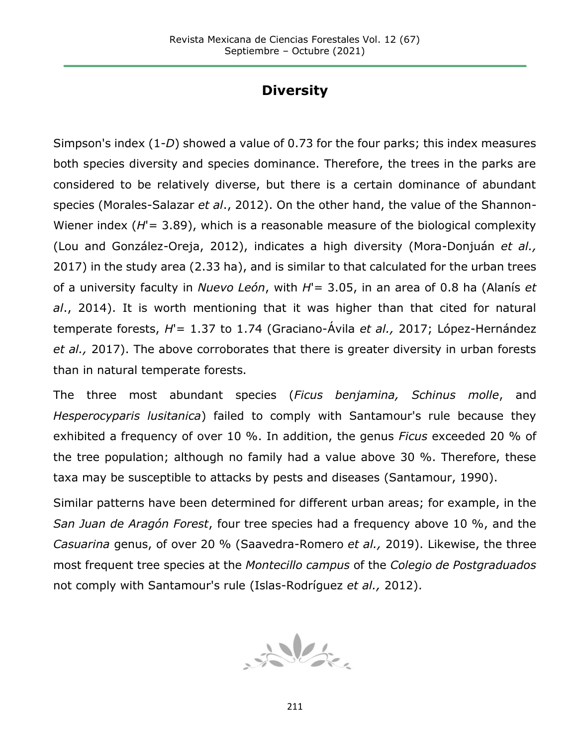## **Diversity**

Simpson's index (1-*D*) showed a value of 0.73 for the four parks; this index measures both species diversity and species dominance. Therefore, the trees in the parks are considered to be relatively diverse, but there is a certain dominance of abundant species (Morales-Salazar *et al*., 2012). On the other hand, the value of the Shannon-Wiener index (*H*'= 3.89), which is a reasonable measure of the biological complexity (Lou and González-Oreja, 2012), indicates a high diversity (Mora-Donjuán *et al.,* 2017) in the study area (2.33 ha), and is similar to that calculated for the urban trees of a university faculty in *Nuevo León*, with *H*'= 3.05, in an area of 0.8 ha (Alanís *et al*., 2014). It is worth mentioning that it was higher than that cited for natural temperate forests, *H*'= 1.37 to 1.74 (Graciano-Ávila *et al.,* 2017; López-Hernández *et al.,* 2017). The above corroborates that there is greater diversity in urban forests than in natural temperate forests.

The three most abundant species (*Ficus benjamina, Schinus molle*, and *Hesperocyparis lusitanica*) failed to comply with Santamour's rule because they exhibited a frequency of over 10 %. In addition, the genus *Ficus* exceeded 20 % of the tree population; although no family had a value above 30 %. Therefore, these taxa may be susceptible to attacks by pests and diseases (Santamour, 1990).

Similar patterns have been determined for different urban areas; for example, in the *San Juan de Aragón Forest*, four tree species had a frequency above 10 %, and the *Casuarina* genus, of over 20 % (Saavedra-Romero *et al.,* 2019). Likewise, the three most frequent tree species at the *Montecillo campus* of the *Colegio de Postgraduados* not comply with Santamour's rule (Islas-Rodríguez *et al.,* 2012).

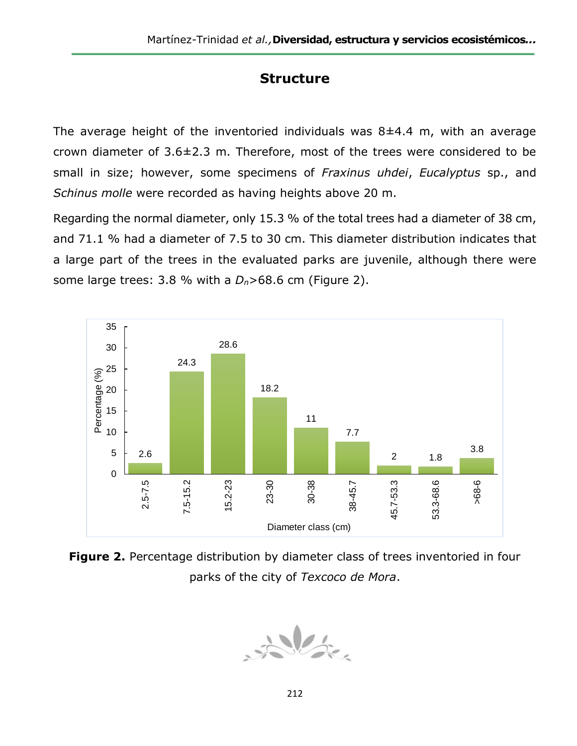## **Structure**

The average height of the inventoried individuals was  $8\pm4.4$  m, with an average crown diameter of 3.6±2.3 m. Therefore, most of the trees were considered to be small in size; however, some specimens of *Fraxinus uhdei*, *Eucalyptus* sp., and *Schinus molle* were recorded as having heights above 20 m.

Regarding the normal diameter, only 15.3 % of the total trees had a diameter of 38 cm, and 71.1 % had a diameter of 7.5 to 30 cm. This diameter distribution indicates that a large part of the trees in the evaluated parks are juvenile, although there were some large trees: 3.8 % with a *Dn*>68.6 cm (Figure 2).



**Figure 2.** Percentage distribution by diameter class of trees inventoried in four parks of the city of *Texcoco de Mora*.

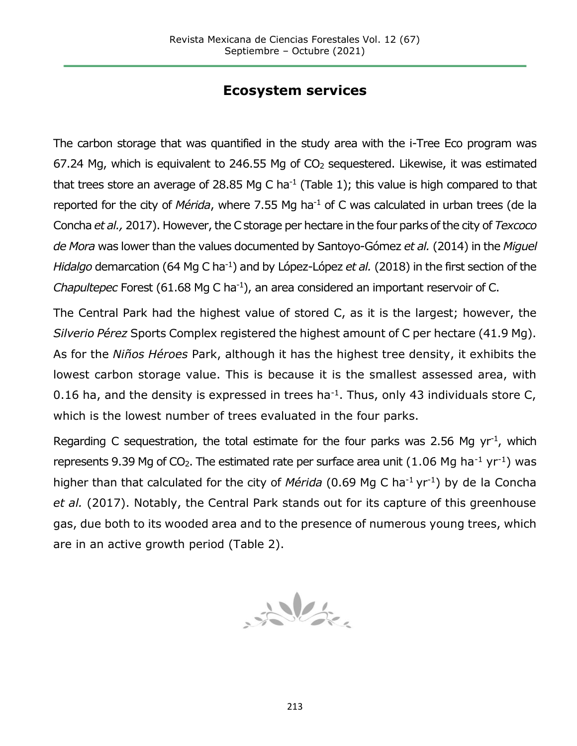## **Ecosystem services**

The carbon storage that was quantified in the study area with the i-Tree Eco program was 67.24 Mg, which is equivalent to 246.55 Mg of  $CO<sub>2</sub>$  sequestered. Likewise, it was estimated that trees store an average of 28.85 Mg C ha<sup>-1</sup> (Table 1); this value is high compared to that reported for the city of *Mérida*, where 7.55 Mg ha<sup>-1</sup> of C was calculated in urban trees (de la Concha *et al.,* 2017). However, the C storage per hectare in the four parks of the city of *Texcoco de Mora* was lower than the values documented by Santoyo-Gómez *et al.* (2014) in the *Miguel Hidalgo* demarcation (64 Mg C ha<sup>-1</sup>) and by López-López *et al.* (2018) in the first section of the *Chapultepec* Forest (61.68 Mg C ha<sup>-1</sup>), an area considered an important reservoir of C.

The Central Park had the highest value of stored C, as it is the largest; however, the *Silverio Pérez* Sports Complex registered the highest amount of C per hectare (41.9 Mg). As for the *Niños Héroes* Park, although it has the highest tree density, it exhibits the lowest carbon storage value. This is because it is the smallest assessed area, with 0.16 ha, and the density is expressed in trees ha<sup>-1</sup>. Thus, only 43 individuals store C, which is the lowest number of trees evaluated in the four parks.

Regarding C sequestration, the total estimate for the four parks was 2.56 Mg  $yr^{-1}$ , which represents 9.39 Mg of  $CO<sub>2</sub>$ . The estimated rate per surface area unit (1.06 Mg ha<sup>-1</sup> yr<sup>-1</sup>) was higher than that calculated for the city of *Mérida* (0.69 Mg C ha<sup>-1</sup> yr<sup>-1</sup>) by de la Concha *et al.* (2017). Notably, the Central Park stands out for its capture of this greenhouse gas, due both to its wooded area and to the presence of numerous young trees, which are in an active growth period (Table 2).

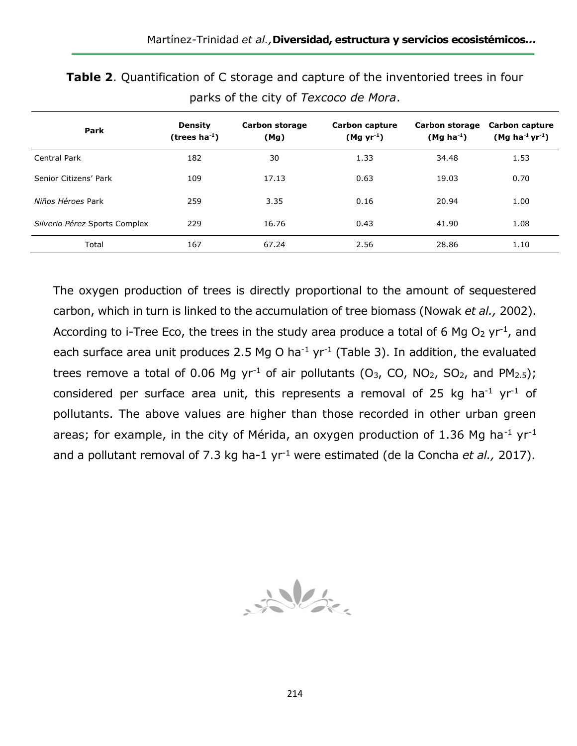| Park                          | <b>Density</b><br>(trees $ha^{-1}$ ) | Carbon storage<br>(Mg) | Carbon capture<br>$(Mgyr^{-1})$ | Carbon storage<br>$(Mg ha-1)$ | <b>Carbon capture</b><br>$(Mg ha^{-1} yr^{-1})$ |
|-------------------------------|--------------------------------------|------------------------|---------------------------------|-------------------------------|-------------------------------------------------|
| Central Park                  | 182                                  | 30                     | 1.33                            | 34.48                         | 1.53                                            |
| Senior Citizens' Park         | 109                                  | 17.13                  | 0.63                            | 19.03                         | 0.70                                            |
| Niños Héroes Park             | 259                                  | 3.35                   | 0.16                            | 20.94                         | 1.00                                            |
| Silverio Pérez Sports Complex | 229                                  | 16.76                  | 0.43                            | 41.90                         | 1.08                                            |
| Total                         | 167                                  | 67.24                  | 2.56                            | 28.86                         | 1.10                                            |

**Table 2**. Quantification of C storage and capture of the inventoried trees in four parks of the city of *Texcoco de Mora*.

The oxygen production of trees is directly proportional to the amount of sequestered carbon, which in turn is linked to the accumulation of tree biomass (Nowak *et al.,* 2002). According to i-Tree Eco, the trees in the study area produce a total of 6 Mg  $O_2$  yr<sup>-1</sup>, and each surface area unit produces 2.5 Mg O ha<sup>-1</sup> yr<sup>-1</sup> (Table 3). In addition, the evaluated trees remove a total of 0.06 Mg yr<sup>-1</sup> of air pollutants (O<sub>3</sub>, CO, NO<sub>2</sub>, SO<sub>2</sub>, and PM<sub>2.5</sub>); considered per surface area unit, this represents a removal of 25 kg ha<sup>-1</sup> yr<sup>-1</sup> of pollutants. The above values are higher than those recorded in other urban green areas; for example, in the city of Mérida, an oxygen production of 1.36 Mg ha<sup>-1</sup> yr<sup>-1</sup> and a pollutant removal of 7.3 kg ha-1 yr-1 were estimated (de la Concha *et al.,* 2017).

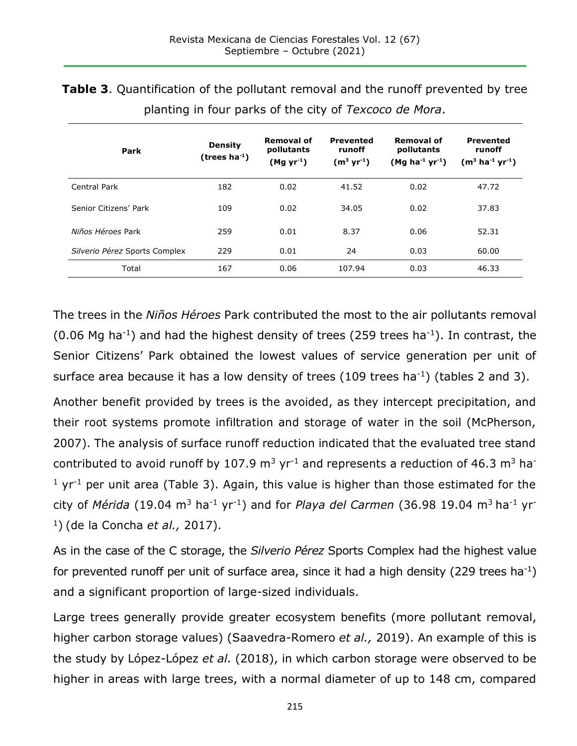**Table 3**. Quantification of the pollutant removal and the runoff prevented by tree planting in four parks of the city of *Texcoco de Mora*.

| Park                          | <b>Density</b><br>$(trees ha-1)$ | Removal of<br>pollutants<br>(Mg yr <sup>-1</sup> ) | <b>Prevented</b><br>runoff<br>$(m^3 yr^{-1})$ | Removal of<br>pollutants<br>$(Mg ha^{-1} yr^{-1})$ | <b>Prevented</b><br>runoff<br>$(m^3 \text{ ha}^{-1} \text{ yr}^{-1})$ |
|-------------------------------|----------------------------------|----------------------------------------------------|-----------------------------------------------|----------------------------------------------------|-----------------------------------------------------------------------|
| Central Park                  | 182                              | 0.02                                               | 41.52                                         | 0.02                                               | 47.72                                                                 |
| Senior Citizens' Park         | 109                              | 0.02                                               | 34.05                                         | 0.02                                               | 37.83                                                                 |
| Niños Héroes Park             | 259                              | 0.01                                               | 8.37                                          | 0.06                                               | 52.31                                                                 |
| Silverio Pérez Sports Complex | 229                              | 0.01                                               | 24                                            | 0.03                                               | 60.00                                                                 |
| Total                         | 167                              | 0.06                                               | 107.94                                        | 0.03                                               | 46.33                                                                 |

The trees in the *Niños Héroes* Park contributed the most to the air pollutants removal  $(0.06$  Mg ha<sup>-1</sup>) and had the highest density of trees (259 trees ha<sup>-1</sup>). In contrast, the Senior Citizens' Park obtained the lowest values of service generation per unit of surface area because it has a low density of trees  $(109$  trees ha<sup>-1</sup>) (tables 2 and 3).

Another benefit provided by trees is the avoided, as they intercept precipitation, and their root systems promote infiltration and storage of water in the soil (McPherson, 2007). The analysis of surface runoff reduction indicated that the evaluated tree stand contributed to avoid runoff by 107.9  $\mathrm{m}^3$  yr<sup>-1</sup> and represents a reduction of 46.3  $\mathrm{m}^3$  hat  $1 \text{ yr}$ <sup>1</sup> per unit area (Table 3). Again, this value is higher than those estimated for the city of *Mérida* (19.04 m<sup>3</sup> ha-1 yr-1) and for *Playa del Carmen* (36.98 19.04 m<sup>3</sup>ha-1 yr-<sup>1</sup>) (de la Concha *et al.,* 2017).

As in the case of the C storage, the *Silverio Pérez* Sports Complex had the highest value for prevented runoff per unit of surface area, since it had a high density (229 trees ha<sup>-1</sup>) and a significant proportion of large-sized individuals.

Large trees generally provide greater ecosystem benefits (more pollutant removal, higher carbon storage values) (Saavedra-Romero *et al.,* 2019). An example of this is the study by López-López *et al.* (2018), in which carbon storage were observed to be higher in areas with large trees, with a normal diameter of up to 148 cm, compared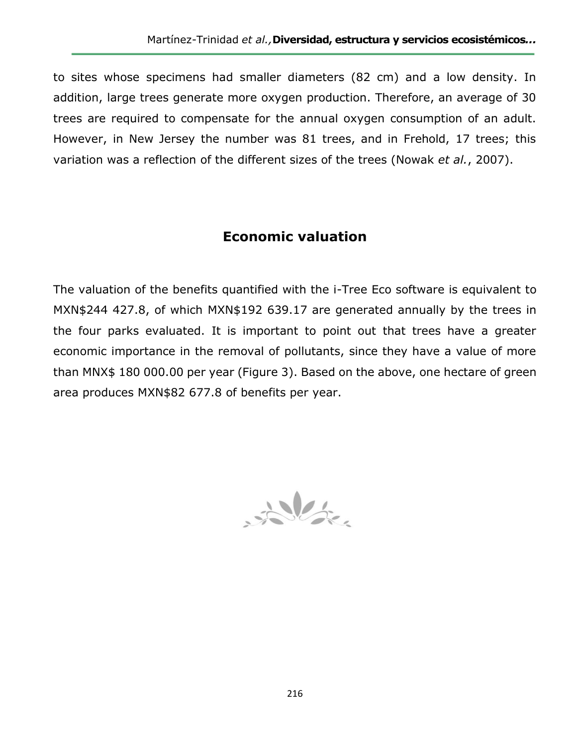to sites whose specimens had smaller diameters (82 cm) and a low density. In addition, large trees generate more oxygen production. Therefore, an average of 30 trees are required to compensate for the annual oxygen consumption of an adult. However, in New Jersey the number was 81 trees, and in Frehold, 17 trees; this variation was a reflection of the different sizes of the trees (Nowak *et al.*, 2007).

## **Economic valuation**

The valuation of the benefits quantified with the i-Tree Eco software is equivalent to MXN\$244 427.8, of which MXN\$192 639.17 are generated annually by the trees in the four parks evaluated. It is important to point out that trees have a greater economic importance in the removal of pollutants, since they have a value of more than MNX\$ 180 000.00 per year (Figure 3). Based on the above, one hectare of green area produces MXN\$82 677.8 of benefits per year.

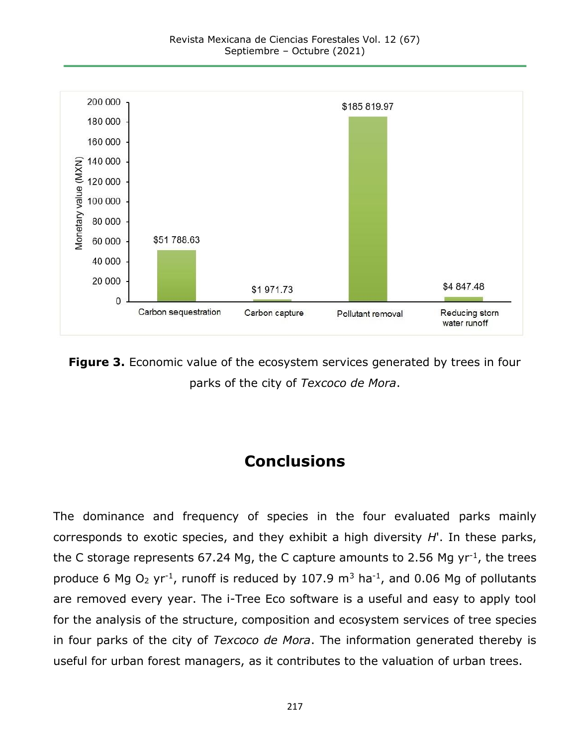

**Figure 3.** Economic value of the ecosystem services generated by trees in four parks of the city of *Texcoco de Mora*.

# **Conclusions**

The dominance and frequency of species in the four evaluated parks mainly corresponds to exotic species, and they exhibit a high diversity *H*'. In these parks, the C storage represents 67.24 Mg, the C capture amounts to 2.56 Mg  $yr^{-1}$ , the trees produce 6 Mg  $O_2$  yr<sup>-1</sup>, runoff is reduced by 107.9 m<sup>3</sup> ha<sup>-1</sup>, and 0.06 Mg of pollutants are removed every year. The i-Tree Eco software is a useful and easy to apply tool for the analysis of the structure, composition and ecosystem services of tree species in four parks of the city of *Texcoco de Mora*. The information generated thereby is useful for urban forest managers, as it contributes to the valuation of urban trees.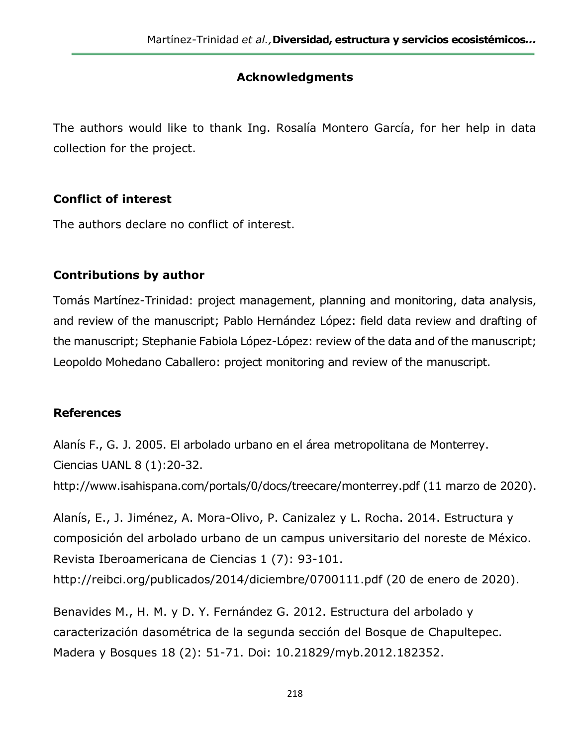## **Acknowledgments**

The authors would like to thank Ing. Rosalía Montero García, for her help in data collection for the project.

## **Conflict of interest**

The authors declare no conflict of interest.

## **Contributions by author**

Tomás Martínez-Trinidad: project management, planning and monitoring, data analysis, and review of the manuscript; Pablo Hernández López: field data review and drafting of the manuscript; Stephanie Fabiola López-López: review of the data and of the manuscript; Leopoldo Mohedano Caballero: project monitoring and review of the manuscript.

## **References**

Alanís F., G. J. 2005. El arbolado urbano en el área metropolitana de Monterrey. Ciencias UANL 8 (1):20-32.

http://www.isahispana.com/portals/0/docs/treecare/monterrey.pdf (11 marzo de 2020).

Alanís, E., J. Jiménez, A. Mora-Olivo, P. Canizalez y L. Rocha. 2014. Estructura y composición del arbolado urbano de un campus universitario del noreste de México. Revista Iberoamericana de Ciencias 1 (7): 93-101. http://reibci.org/publicados/2014/diciembre/0700111.pdf (20 de enero de 2020).

Benavides M., H. M. y D. Y. Fernández G. 2012. Estructura del arbolado y caracterización dasométrica de la segunda sección del Bosque de Chapultepec. Madera y Bosques 18 (2): 51-71. Doi: 10.21829/myb.2012.182352.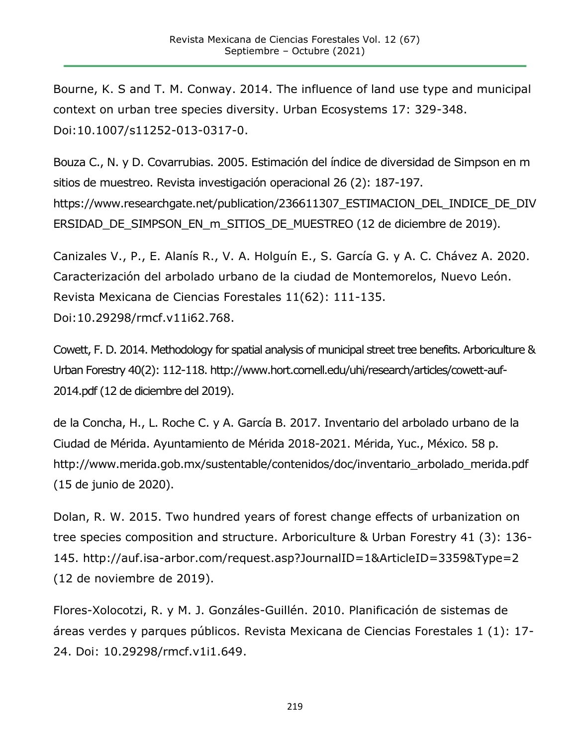Bourne, K. S and T. M. Conway. 2014. The influence of land use type and municipal context on urban tree species diversity. Urban Ecosystems 17: 329-348. Doi:10.1007/s11252-013-0317-0.

Bouza C., N. y D. Covarrubias. 2005. Estimación del índice de diversidad de Simpson en m sitios de muestreo. Revista investigación operacional 26 (2): 187-197. https://www.researchgate.net/publication/236611307\_ESTIMACION\_DEL\_INDICE\_DE\_DIV ERSIDAD\_DE\_SIMPSON\_EN\_m\_SITIOS\_DE\_MUESTREO (12 de diciembre de 2019).

Canizales V., P., E. Alanís R., V. A. Holguín E., S. García G. y A. C. Chávez A. 2020. Caracterización del arbolado urbano de la ciudad de Montemorelos, Nuevo León. Revista Mexicana de Ciencias Forestales 11(62): 111-135. Doi:10.29298/rmcf.v11i62.768.

Cowett, F. D. 2014. Methodology for spatial analysis of municipal street tree benefits. Arboriculture & Urban Forestry 40(2): 112-118. http://www.hort.cornell.edu/uhi/research/articles/cowett-auf-2014.pdf (12 de diciembre del 2019).

de la Concha, H., L. Roche C. y A. García B. 2017. Inventario del arbolado urbano de la Ciudad de Mérida. Ayuntamiento de Mérida 2018-2021. Mérida, Yuc., México. 58 p. http://www.merida.gob.mx/sustentable/contenidos/doc/inventario\_arbolado\_merida.pdf (15 de junio de 2020).

Dolan, R. W. 2015. Two hundred years of forest change effects of urbanization on tree species composition and structure. Arboriculture & Urban Forestry 41 (3): 136- 145. http://auf.isa-arbor.com/request.asp?JournalID=1&ArticleID=3359&Type=2 (12 de noviembre de 2019).

Flores-Xolocotzi, R. y M. J. Gonzáles-Guillén. 2010. Planificación de sistemas de áreas verdes y parques públicos. Revista Mexicana de Ciencias Forestales 1 (1): 17- 24. Doi: 10.29298/rmcf.v1i1.649.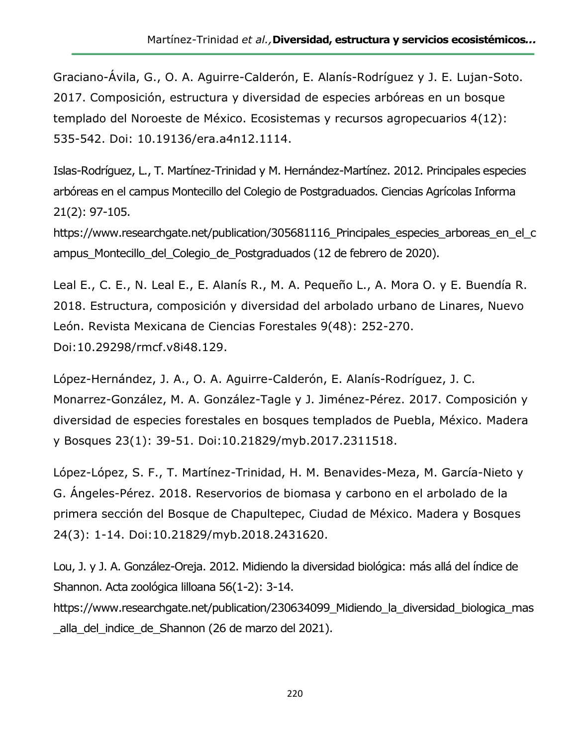Graciano-Ávila, G., O. A. Aguirre-Calderón, E. Alanís-Rodríguez y J. E. Lujan-Soto. 2017. Composición, estructura y diversidad de especies arbóreas en un bosque templado del Noroeste de México. Ecosistemas y recursos agropecuarios 4(12): 535-542. Doi: 10.19136/era.a4n12.1114.

Islas-Rodríguez, L., T. Martínez-Trinidad y M. Hernández-Martínez. 2012. Principales especies arbóreas en el campus Montecillo del Colegio de Postgraduados. Ciencias Agrícolas Informa 21(2): 97-105.

https://www.researchgate.net/publication/305681116 Principales especies arboreas en el c ampus Montecillo del Colegio de Postgraduados (12 de febrero de 2020).

Leal E., C. E., N. Leal E., E. Alanís R., M. A. Pequeño L., A. Mora O. y E. Buendía R. 2018. Estructura, composición y diversidad del arbolado urbano de Linares, Nuevo León. Revista Mexicana de Ciencias Forestales 9(48): 252-270. Doi:10.29298/rmcf.v8i48.129.

López-Hernández, J. A., O. A. Aguirre-Calderón, E. Alanís-Rodríguez, J. C. Monarrez-González, M. A. González-Tagle y J. Jiménez-Pérez. 2017. Composición y diversidad de especies forestales en bosques templados de Puebla, México. Madera y Bosques 23(1): 39-51. Doi:10.21829/myb.2017.2311518.

López-López, S. F., T. Martínez-Trinidad, H. M. Benavides-Meza, M. García-Nieto y G. Ángeles-Pérez. 2018. Reservorios de biomasa y carbono en el arbolado de la primera sección del Bosque de Chapultepec, Ciudad de México. Madera y Bosques 24(3): 1-14. Doi:10.21829/myb.2018.2431620.

Lou, J. y J. A. González-Oreja. 2012. Midiendo la diversidad biológica: más allá del índice de Shannon. Acta zoológica lilloana 56(1-2): 3-14.

https://www.researchgate.net/publication/230634099 Midiendo la diversidad biologica mas alla del indice de Shannon (26 de marzo del 2021).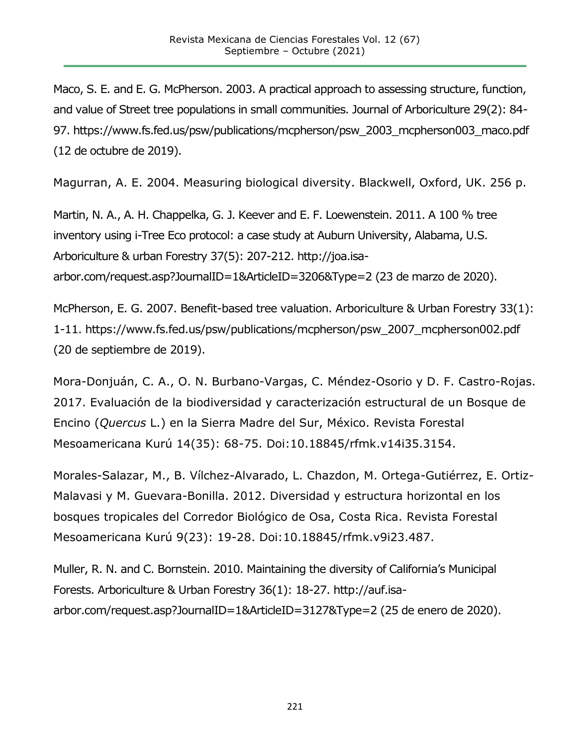Maco, S. E. and E. G. McPherson. 2003. A practical approach to assessing structure, function, and value of Street tree populations in small communities. Journal of Arboriculture 29(2): 84- 97. https://www.fs.fed.us/psw/publications/mcpherson/psw\_2003\_mcpherson003\_maco.pdf (12 de octubre de 2019).

Magurran, A. E. 2004. Measuring biological diversity. Blackwell, Oxford, UK. 256 p.

Martin, N. A., A. H. Chappelka, G. J. Keever and E. F. Loewenstein. 2011. A 100 % tree inventory using i-Tree Eco protocol: a case study at Auburn University, Alabama, U.S. Arboriculture & urban Forestry 37(5): 207-212. http://joa.isaarbor.com/request.asp?JournalID=1&ArticleID=3206&Type=2 (23 de marzo de 2020).

McPherson, E. G. 2007. Benefit-based tree valuation. Arboriculture & Urban Forestry 33(1): 1-11. https://www.fs.fed.us/psw/publications/mcpherson/psw\_2007\_mcpherson002.pdf (20 de septiembre de 2019).

Mora-Donjuán, C. A., O. N. Burbano-Vargas, C. Méndez-Osorio y D. F. Castro-Rojas. 2017. Evaluación de la biodiversidad y caracterización estructural de un Bosque de Encino (*Quercus* L.) en la Sierra Madre del Sur, México. Revista Forestal Mesoamericana Kurú 14(35): 68-75. Doi:10.18845/rfmk.v14i35.3154.

Morales-Salazar, M., B. Vílchez-Alvarado, L. Chazdon, M. Ortega-Gutiérrez, E. Ortiz-Malavasi y M. Guevara-Bonilla. 2012. Diversidad y estructura horizontal en los bosques tropicales del Corredor Biológico de Osa, Costa Rica. Revista Forestal Mesoamericana Kurú 9(23): 19-28. Doi:10.18845/rfmk.v9i23.487.

Muller, R. N. and C. Bornstein. 2010. Maintaining the diversity of California's Municipal Forests. Arboriculture & Urban Forestry 36(1): 18-27. http://auf.isaarbor.com/request.asp?JournalID=1&ArticleID=3127&Type=2 (25 de enero de 2020).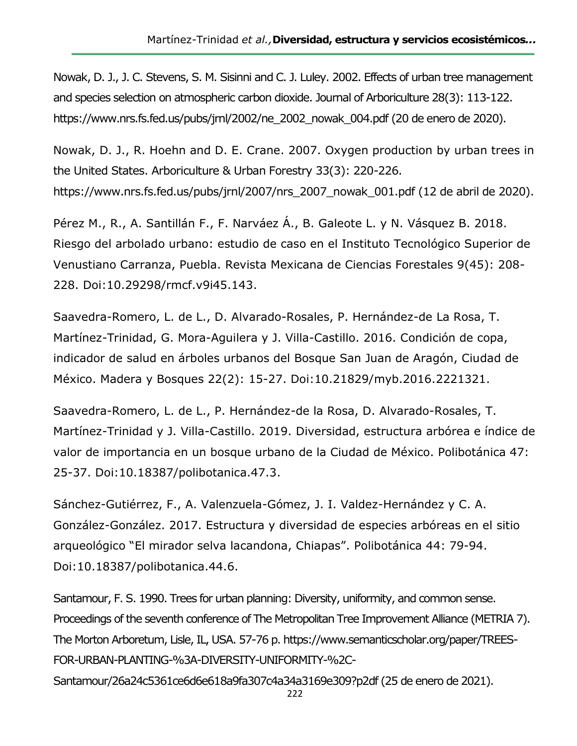Nowak, D. J., J. C. Stevens, S. M. Sisinni and C. J. Luley. 2002. Effects of urban tree management and species selection on atmospheric carbon dioxide. Journal of Arboriculture 28(3): 113-122. https://www.nrs.fs.fed.us/pubs/jrnl/2002/ne\_2002\_nowak\_004.pdf (20 de enero de 2020).

Nowak, D. J., R. Hoehn and D. E. Crane. 2007. Oxygen production by urban trees in the United States. Arboriculture & Urban Forestry 33(3): 220-226. https://www.nrs.fs.fed.us/pubs/jrnl/2007/nrs\_2007\_nowak\_001.pdf (12 de abril de 2020).

Pérez M., R., A. Santillán F., F. Narváez Á., B. Galeote L. y N. Vásquez B. 2018. Riesgo del arbolado urbano: estudio de caso en el Instituto Tecnológico Superior de Venustiano Carranza, Puebla. Revista Mexicana de Ciencias Forestales 9(45): 208- 228. Doi:10.29298/rmcf.v9i45.143.

Saavedra-Romero, L. de L., D. Alvarado-Rosales, P. Hernández-de La Rosa, T. Martínez-Trinidad, G. Mora-Aguilera y J. Villa-Castillo. 2016. Condición de copa, indicador de salud en árboles urbanos del Bosque San Juan de Aragón, Ciudad de México. Madera y Bosques 22(2): 15-27. Doi:10.21829/myb.2016.2221321.

Saavedra-Romero, L. de L., P. Hernández-de la Rosa, D. Alvarado-Rosales, T. Martínez-Trinidad y J. Villa-Castillo. 2019. Diversidad, estructura arbórea e índice de valor de importancia en un bosque urbano de la Ciudad de México. Polibotánica 47: 25-37. Doi:10.18387/polibotanica.47.3.

Sánchez-Gutiérrez, F., A. Valenzuela-Gómez, J. I. Valdez-Hernández y C. A. González-González. 2017. Estructura y diversidad de especies arbóreas en el sitio arqueológico "El mirador selva lacandona, Chiapas". Polibotánica 44: 79-94. Doi:10.18387/polibotanica.44.6.

Santamour, F. S. 1990. Trees for urban planning: Diversity, uniformity, and common sense. Proceedings of the seventh conference of The Metropolitan Tree Improvement Alliance (METRIA 7). The Morton Arboretum, Lisle, IL, USA. 57-76 p. https://www.semanticscholar.org/paper/TREES-FOR-URBAN-PLANTING-%3A-DIVERSITY-UNIFORMITY-%2C-

Santamour/26a24c5361ce6d6e618a9fa307c4a34a3169e309?p2df (25 de enero de 2021).